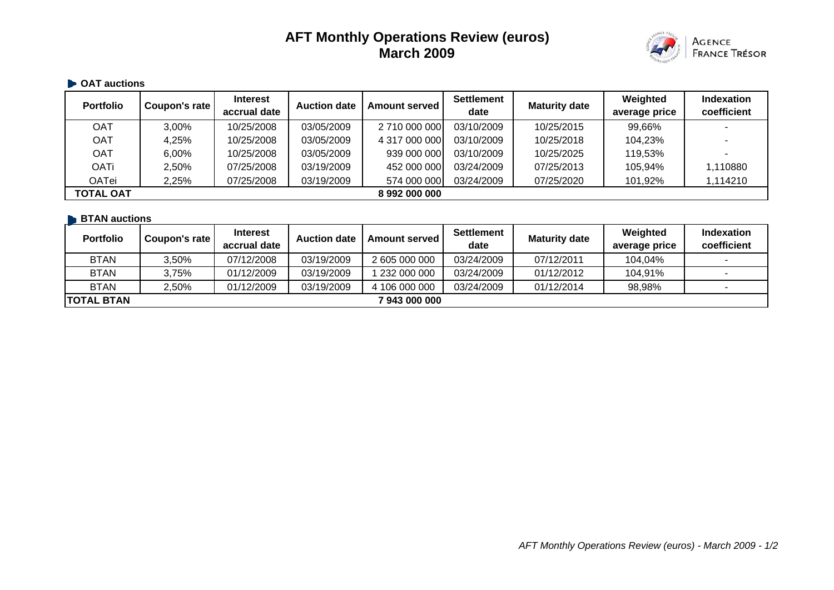# **AFT Monthly Operations Review (euros) March 2009**



## **OAT auctions Portfolio Coupon's rate Interest Portfolio Coupon's rate Auction date Amount served Settlement date Maturity date Weighted average price Indexation coefficient** OAT | 3,00% | 10/25/2008 | 03/05/2009 | 2 710 000 000 03/10/2009 | 10/25/2015 | 99,66% | -OAT | 4,25% | 10/25/2008 | 03/05/2009 | 4 317 000 000 03/10/2009 | 10/25/2018 | 104,23% | -OAT | 6,00% | 10/25/2008 | 03/05/2009 | 939 000 000| 03/10/2009 | 10/25/2025 | 119,53% | -OATi 2,50% 07/25/2008 03/19/2009 452 000 000 03/24/2009 07/25/2013 105,94% 1,110880 OATei 2,25% 07/25/2008 03/19/2009 574 000 000 03/24/2009 07/25/2020 101,92% 1,114210 **TOTAL OAT 8 992 000 000**

#### **BTAN auctions**

| <b>Portfolio</b>  | Coupon's rate | <b>Interest</b><br>accrual date | <b>Auction date</b> | <b>Amount served</b> | <b>Settlement</b><br>date | <b>Maturity date</b> | Weighted<br>average price | <b>Indexation</b><br>coefficient |
|-------------------|---------------|---------------------------------|---------------------|----------------------|---------------------------|----------------------|---------------------------|----------------------------------|
| <b>BTAN</b>       | 3.50%         | 07/12/2008                      | 03/19/2009          | 2 605 000 000        | 03/24/2009                | 07/12/2011           | 104,04%                   |                                  |
| <b>BTAN</b>       | 3,75%         | 01/12/2009                      | 03/19/2009          | 1 232 000 000        | 03/24/2009                | 01/12/2012           | 104,91%                   |                                  |
| <b>BTAN</b>       | 2.50%         | 01/12/2009                      | 03/19/2009          | 4 106 000 000        | 03/24/2009                | 01/12/2014           | 98,98%                    |                                  |
| <b>TOTAL BTAN</b> |               |                                 |                     | 7 943 000 000        |                           |                      |                           |                                  |